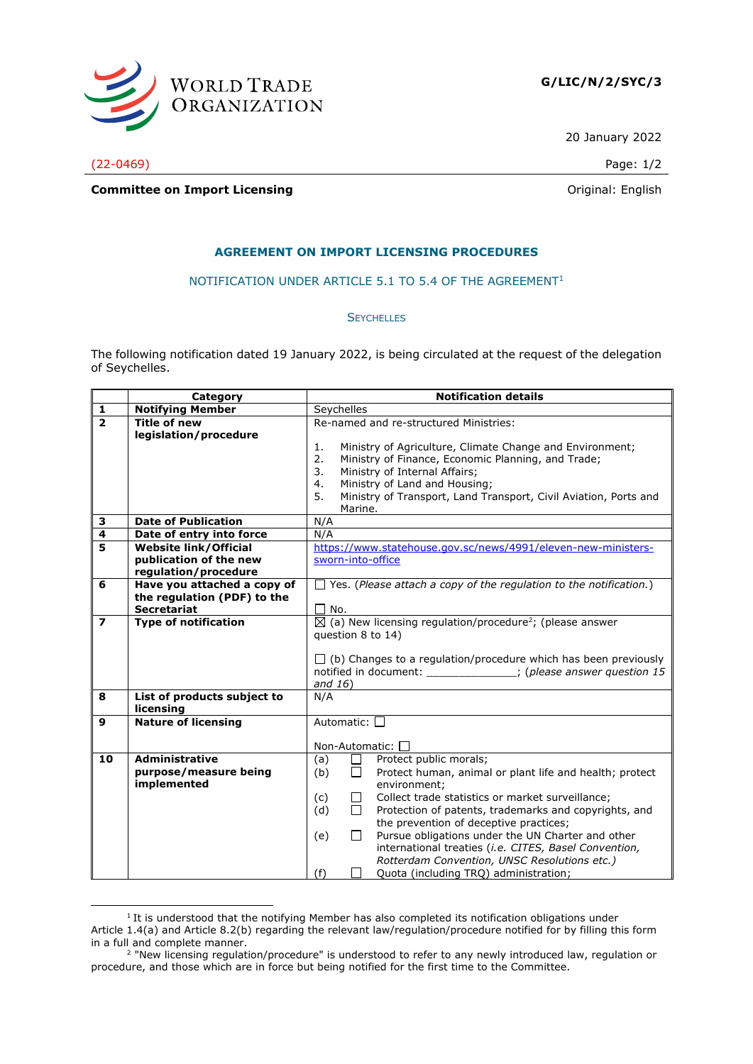

20 January 2022

(22-0469) Page: 1/2

**Committee on Import Licensing Committee on Import Licensing** 

## **AGREEMENT ON IMPORT LICENSING PROCEDURES**

## NOTIFICATION UNDER ARTICLE 5.1 TO 5.4 OF THE AGREEMENT<sup>1</sup>

## **SEYCHELLES**

The following notification dated 19 January 2022, is being circulated at the request of the delegation of Seychelles.

|                          | Category                     | <b>Notification details</b>                                                      |
|--------------------------|------------------------------|----------------------------------------------------------------------------------|
| 1                        | <b>Notifying Member</b>      | Seychelles                                                                       |
| $\overline{2}$           | <b>Title of new</b>          | Re-named and re-structured Ministries:                                           |
|                          | legislation/procedure        |                                                                                  |
|                          |                              | Ministry of Agriculture, Climate Change and Environment;<br>1.                   |
|                          |                              | 2.<br>Ministry of Finance, Economic Planning, and Trade;                         |
|                          |                              | Ministry of Internal Affairs;<br>3.                                              |
|                          |                              | Ministry of Land and Housing;<br>4.                                              |
|                          |                              | Ministry of Transport, Land Transport, Civil Aviation, Ports and<br>5.           |
|                          |                              | Marine.                                                                          |
| 3                        | <b>Date of Publication</b>   | N/A                                                                              |
| $\overline{4}$           | Date of entry into force     | N/A                                                                              |
| $\overline{\mathbf{5}}$  | <b>Website link/Official</b> | https://www.statehouse.gov.sc/news/4991/eleven-new-ministers-                    |
|                          | publication of the new       | sworn-into-office                                                                |
|                          | regulation/procedure         |                                                                                  |
| 6                        | Have you attached a copy of  | $\Box$ Yes. (Please attach a copy of the regulation to the notification.)        |
|                          | the regulation (PDF) to the  |                                                                                  |
|                          | <b>Secretariat</b>           | $\Box$ No.                                                                       |
| $\overline{\phantom{a}}$ | <b>Type of notification</b>  | $\boxtimes$ (a) New licensing regulation/procedure <sup>2</sup> ; (please answer |
|                          |                              | question 8 to 14)                                                                |
|                          |                              |                                                                                  |
|                          |                              | $\Box$ (b) Changes to a regulation/procedure which has been previously           |
|                          |                              | notified in document: ______________; (please answer question 15                 |
|                          |                              | and $16)$                                                                        |
| 8                        | List of products subject to  | N/A                                                                              |
|                          | licensing                    |                                                                                  |
| 9                        | <b>Nature of licensing</b>   | Automatic: □                                                                     |
|                          |                              |                                                                                  |
|                          |                              | Non-Automatic: $\square$                                                         |
| 10                       | <b>Administrative</b>        | Protect public morals;<br>(a)<br>$\mathsf{L}$                                    |
|                          | purpose/measure being        | Protect human, animal or plant life and health; protect<br>(b)<br>$\Box$         |
|                          | implemented                  | environment;                                                                     |
|                          |                              | Collect trade statistics or market surveillance;<br>(c)<br>$\mathbf{L}$          |
|                          |                              | (d)<br>П<br>Protection of patents, trademarks and copyrights, and                |
|                          |                              | the prevention of deceptive practices;                                           |
|                          |                              | Pursue obligations under the UN Charter and other<br>$\Box$<br>(e)               |
|                          |                              | international treaties (i.e. CITES, Basel Convention,                            |
|                          |                              | Rotterdam Convention, UNSC Resolutions etc.)                                     |
|                          |                              | Quota (including TRQ) administration;<br>(f)                                     |

 $1$  It is understood that the notifying Member has also completed its notification obligations under Article 1.4(a) and Article 8.2(b) regarding the relevant law/regulation/procedure notified for by filling this form in a full and complete manner.

<sup>&</sup>lt;sup>2</sup> "New licensing regulation/procedure" is understood to refer to any newly introduced law, regulation or procedure, and those which are in force but being notified for the first time to the Committee.